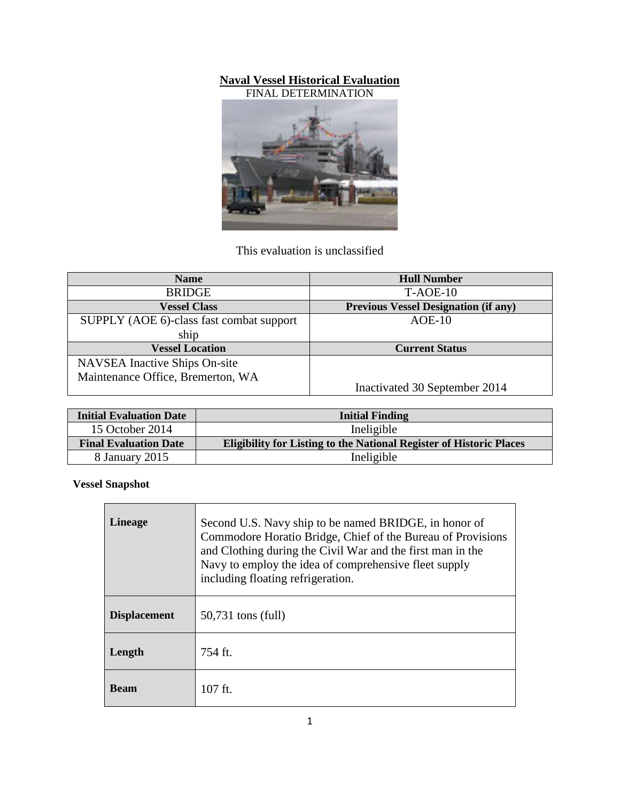## **Naval Vessel Historical Evaluation**





This evaluation is unclassified

| <b>Name</b>                              | <b>Hull Number</b>                          |
|------------------------------------------|---------------------------------------------|
| <b>BRIDGE</b>                            | $T-AOE-10$                                  |
| <b>Vessel Class</b>                      | <b>Previous Vessel Designation (if any)</b> |
| SUPPLY (AOE 6)-class fast combat support | $AOE-10$                                    |
| ship                                     |                                             |
| <b>Vessel Location</b>                   | <b>Current Status</b>                       |
| NAVSEA Inactive Ships On-site            |                                             |
| Maintenance Office, Bremerton, WA        | Inactivated 30 September 2014               |

| <b>Initial Evaluation Date</b> | <b>Initial Finding</b>                                                     |
|--------------------------------|----------------------------------------------------------------------------|
| 15 October 2014                | Ineligible                                                                 |
| <b>Final Evaluation Date</b>   | <b>Eligibility for Listing to the National Register of Historic Places</b> |
| 8 January 2015                 | Ineligible                                                                 |

**Vessel Snapshot**

| <b>Lineage</b>      | Second U.S. Navy ship to be named BRIDGE, in honor of<br>Commodore Horatio Bridge, Chief of the Bureau of Provisions<br>and Clothing during the Civil War and the first man in the<br>Navy to employ the idea of comprehensive fleet supply<br>including floating refrigeration. |
|---------------------|----------------------------------------------------------------------------------------------------------------------------------------------------------------------------------------------------------------------------------------------------------------------------------|
| <b>Displacement</b> | 50,731 tons (full)                                                                                                                                                                                                                                                               |
| Length              | $754$ ft.                                                                                                                                                                                                                                                                        |
| <b>Beam</b>         | $107$ ft.                                                                                                                                                                                                                                                                        |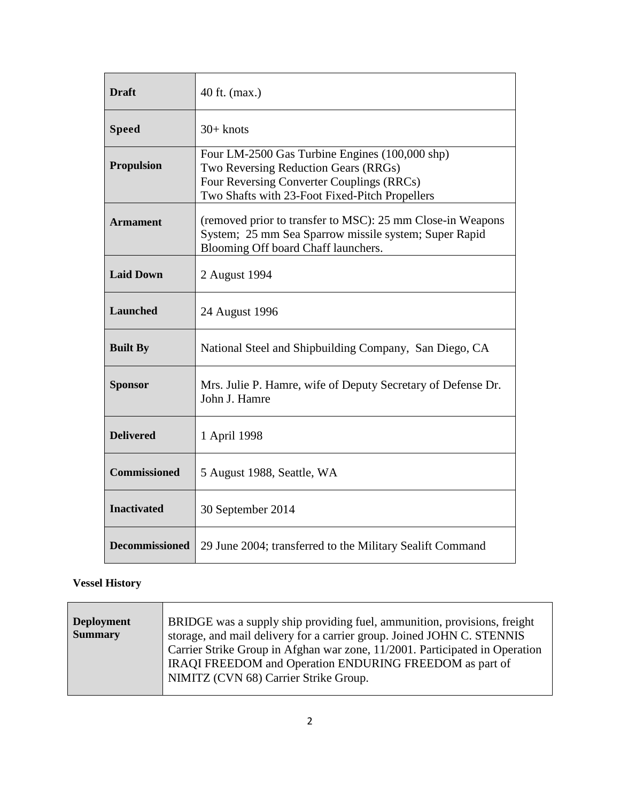| <b>Draft</b>          | 40 ft. (max.)                                                                                                                                                                         |
|-----------------------|---------------------------------------------------------------------------------------------------------------------------------------------------------------------------------------|
| <b>Speed</b>          | $30+$ knots                                                                                                                                                                           |
| <b>Propulsion</b>     | Four LM-2500 Gas Turbine Engines (100,000 shp)<br>Two Reversing Reduction Gears (RRGs)<br>Four Reversing Converter Couplings (RRCs)<br>Two Shafts with 23-Foot Fixed-Pitch Propellers |
| <b>Armament</b>       | (removed prior to transfer to MSC): 25 mm Close-in Weapons<br>System; 25 mm Sea Sparrow missile system; Super Rapid<br>Blooming Off board Chaff launchers.                            |
| <b>Laid Down</b>      | 2 August 1994                                                                                                                                                                         |
| <b>Launched</b>       | 24 August 1996                                                                                                                                                                        |
| <b>Built By</b>       | National Steel and Shipbuilding Company, San Diego, CA                                                                                                                                |
| <b>Sponsor</b>        | Mrs. Julie P. Hamre, wife of Deputy Secretary of Defense Dr.<br>John J. Hamre                                                                                                         |
| <b>Delivered</b>      | 1 April 1998                                                                                                                                                                          |
| <b>Commissioned</b>   | 5 August 1988, Seattle, WA                                                                                                                                                            |
| <b>Inactivated</b>    | 30 September 2014                                                                                                                                                                     |
| <b>Decommissioned</b> | 29 June 2004; transferred to the Military Sealift Command                                                                                                                             |

## **Vessel History**

| <b>Deployment</b> | BRIDGE was a supply ship providing fuel, ammunition, provisions, freight    |
|-------------------|-----------------------------------------------------------------------------|
| <b>Summary</b>    | storage, and mail delivery for a carrier group. Joined JOHN C. STENNIS      |
|                   | Carrier Strike Group in Afghan war zone, 11/2001. Participated in Operation |
|                   | IRAQI FREEDOM and Operation ENDURING FREEDOM as part of                     |
|                   | NIMITZ (CVN 68) Carrier Strike Group.                                       |
|                   |                                                                             |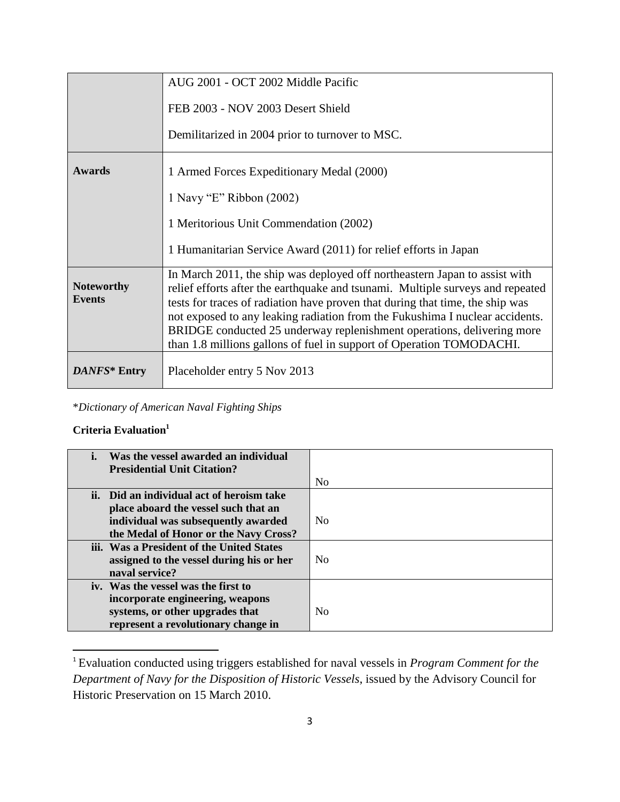|                                    | AUG 2001 - OCT 2002 Middle Pacific                                                                                                                                                                                                                                                                                                                                                                                                                                              |
|------------------------------------|---------------------------------------------------------------------------------------------------------------------------------------------------------------------------------------------------------------------------------------------------------------------------------------------------------------------------------------------------------------------------------------------------------------------------------------------------------------------------------|
|                                    | FEB 2003 - NOV 2003 Desert Shield                                                                                                                                                                                                                                                                                                                                                                                                                                               |
|                                    | Demilitarized in 2004 prior to turnover to MSC.                                                                                                                                                                                                                                                                                                                                                                                                                                 |
| <b>Awards</b>                      | 1 Armed Forces Expeditionary Medal (2000)                                                                                                                                                                                                                                                                                                                                                                                                                                       |
|                                    | 1 Navy "E" Ribbon (2002)                                                                                                                                                                                                                                                                                                                                                                                                                                                        |
|                                    | 1 Meritorious Unit Commendation (2002)                                                                                                                                                                                                                                                                                                                                                                                                                                          |
|                                    | 1 Humanitarian Service Award (2011) for relief efforts in Japan                                                                                                                                                                                                                                                                                                                                                                                                                 |
| <b>Noteworthy</b><br><b>Events</b> | In March 2011, the ship was deployed off northeastern Japan to assist with<br>relief efforts after the earthquake and tsunami. Multiple surveys and repeated<br>tests for traces of radiation have proven that during that time, the ship was<br>not exposed to any leaking radiation from the Fukushima I nuclear accidents.<br>BRIDGE conducted 25 underway replenishment operations, delivering more<br>than 1.8 millions gallons of fuel in support of Operation TOMODACHI. |
| DANFS* Entry                       | Placeholder entry 5 Nov 2013                                                                                                                                                                                                                                                                                                                                                                                                                                                    |

\**Dictionary of American Naval Fighting Ships*

## **Criteria Evaluation<sup>1</sup>**

 $\overline{\phantom{a}}$ 

| Was the vessel awarded an individual      |                |
|-------------------------------------------|----------------|
| <b>Presidential Unit Citation?</b>        |                |
|                                           | N <sub>0</sub> |
| ii. Did an individual act of heroism take |                |
| place aboard the vessel such that an      |                |
| individual was subsequently awarded       | N <sub>0</sub> |
| the Medal of Honor or the Navy Cross?     |                |
| iii. Was a President of the United States |                |
| assigned to the vessel during his or her  | N <sub>0</sub> |
| naval service?                            |                |
| iv. Was the vessel was the first to       |                |
| incorporate engineering, weapons          |                |
| systems, or other upgrades that           | N <sub>0</sub> |
| represent a revolutionary change in       |                |

<sup>1</sup> Evaluation conducted using triggers established for naval vessels in *Program Comment for the Department of Navy for the Disposition of Historic Vessels*, issued by the Advisory Council for Historic Preservation on 15 March 2010.